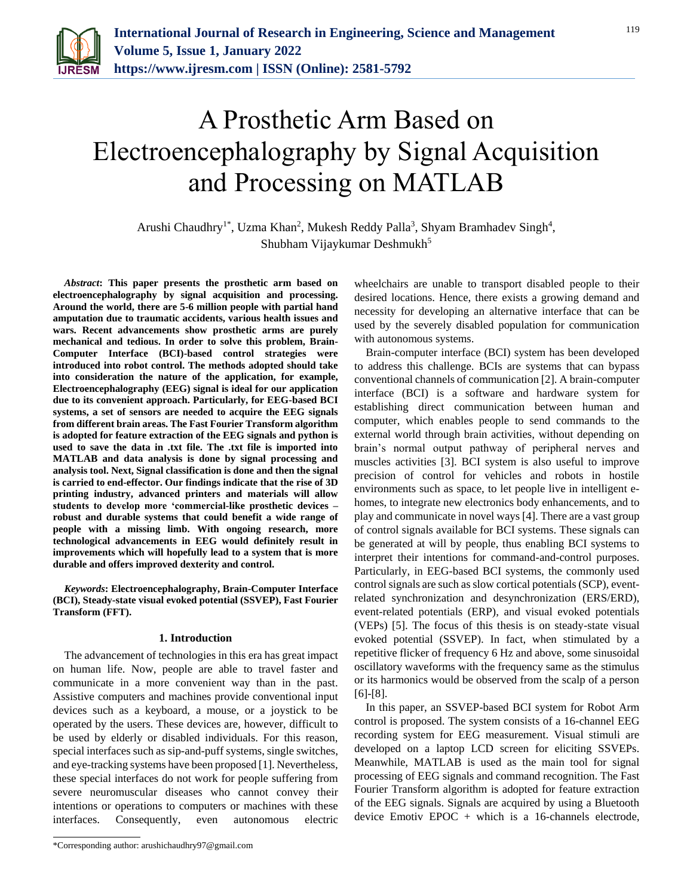

# A Prosthetic Arm Based on Electroencephalography by Signal Acquisition and Processing on MATLAB

Arushi Chaudhry<sup>1\*</sup>, Uzma Khan<sup>2</sup>, Mukesh Reddy Palla<sup>3</sup>, Shyam Bramhadev Singh<sup>4</sup>, Shubham Vijaykumar Deshmukh<sup>5</sup>

*Abstract***: This paper presents the prosthetic arm based on electroencephalography by signal acquisition and processing. Around the world, there are 5-6 million people with partial hand amputation due to traumatic accidents, various health issues and wars. Recent advancements show prosthetic arms are purely mechanical and tedious. In order to solve this problem, Brain-Computer Interface (BCI)-based control strategies were introduced into robot control. The methods adopted should take into consideration the nature of the application, for example, Electroencephalography (EEG) signal is ideal for our application due to its convenient approach. Particularly, for EEG-based BCI systems, a set of sensors are needed to acquire the EEG signals from different brain areas. The Fast Fourier Transform algorithm is adopted for feature extraction of the EEG signals and python is used to save the data in .txt file. The .txt file is imported into MATLAB and data analysis is done by signal processing and analysis tool. Next, Signal classification is done and then the signal is carried to end-effector. Our findings indicate that the rise of 3D printing industry, advanced printers and materials will allow students to develop more 'commercial-like prosthetic devices – robust and durable systems that could benefit a wide range of people with a missing limb. With ongoing research, more technological advancements in EEG would definitely result in improvements which will hopefully lead to a system that is more durable and offers improved dexterity and control.** 

*Keywords***: Electroencephalography, Brain-Computer Interface (BCI), Steady-state visual evoked potential (SSVEP), Fast Fourier Transform (FFT).**

## **1. Introduction**

The advancement of technologies in this era has great impact on human life. Now, people are able to travel faster and communicate in a more convenient way than in the past. Assistive computers and machines provide conventional input devices such as a keyboard, a mouse, or a joystick to be operated by the users. These devices are, however, difficult to be used by elderly or disabled individuals. For this reason, special interfaces such as sip-and-puff systems, single switches, and eye-tracking systems have been proposed [1]. Nevertheless, these special interfaces do not work for people suffering from severe neuromuscular diseases who cannot convey their intentions or operations to computers or machines with these interfaces. Consequently, even autonomous electric

wheelchairs are unable to transport disabled people to their desired locations. Hence, there exists a growing demand and necessity for developing an alternative interface that can be used by the severely disabled population for communication with autonomous systems.

Brain-computer interface (BCI) system has been developed to address this challenge. BCIs are systems that can bypass conventional channels of communication [2]. A brain-computer interface (BCI) is a software and hardware system for establishing direct communication between human and computer, which enables people to send commands to the external world through brain activities, without depending on brain's normal output pathway of peripheral nerves and muscles activities [3]. BCI system is also useful to improve precision of control for vehicles and robots in hostile environments such as space, to let people live in intelligent ehomes, to integrate new electronics body enhancements, and to play and communicate in novel ways [4]. There are a vast group of control signals available for BCI systems. These signals can be generated at will by people, thus enabling BCI systems to interpret their intentions for command-and-control purposes. Particularly, in EEG-based BCI systems, the commonly used control signals are such as slow cortical potentials (SCP), eventrelated synchronization and desynchronization (ERS/ERD), event-related potentials (ERP), and visual evoked potentials (VEPs) [5]. The focus of this thesis is on steady-state visual evoked potential (SSVEP). In fact, when stimulated by a repetitive flicker of frequency 6 Hz and above, some sinusoidal oscillatory waveforms with the frequency same as the stimulus or its harmonics would be observed from the scalp of a person [6]-[8].

In this paper, an SSVEP-based BCI system for Robot Arm control is proposed. The system consists of a 16-channel EEG recording system for EEG measurement. Visual stimuli are developed on a laptop LCD screen for eliciting SSVEPs. Meanwhile, MATLAB is used as the main tool for signal processing of EEG signals and command recognition. The Fast Fourier Transform algorithm is adopted for feature extraction of the EEG signals. Signals are acquired by using a Bluetooth device Emotiv EPOC  $+$  which is a 16-channels electrode,

<sup>\*</sup>Corresponding author: arushichaudhry97@gmail.com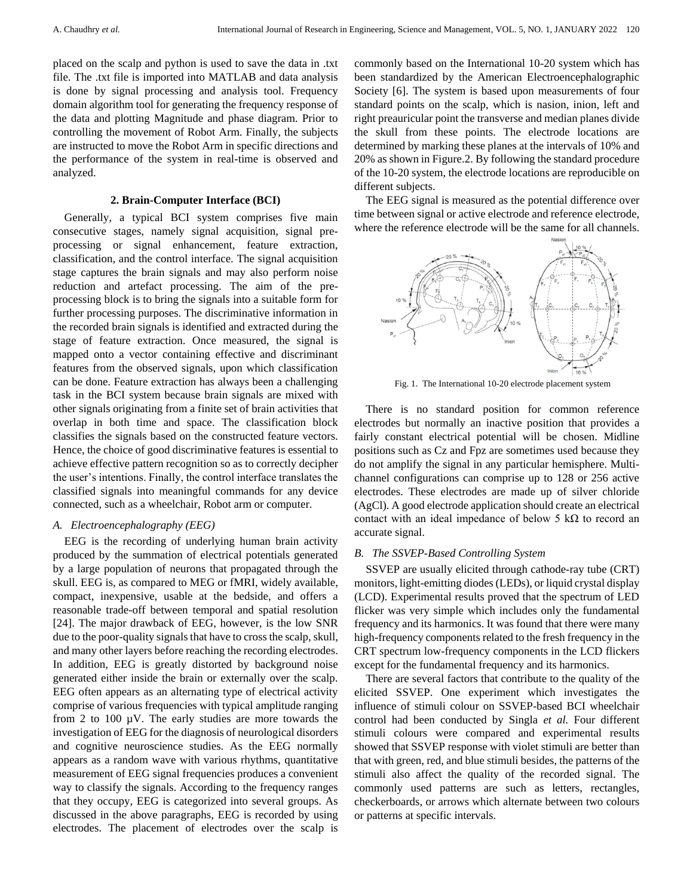placed on the scalp and python is used to save the data in .txt file. The .txt file is imported into MATLAB and data analysis is done by signal processing and analysis tool. Frequency domain algorithm tool for generating the frequency response of the data and plotting Magnitude and phase diagram. Prior to controlling the movement of Robot Arm. Finally, the subjects are instructed to move the Robot Arm in specific directions and the performance of the system in real-time is observed and analyzed.

# **2. Brain-Computer Interface (BCI)**

Generally, a typical BCI system comprises five main consecutive stages, namely signal acquisition, signal preprocessing or signal enhancement, feature extraction, classification, and the control interface. The signal acquisition stage captures the brain signals and may also perform noise reduction and artefact processing. The aim of the preprocessing block is to bring the signals into a suitable form for further processing purposes. The discriminative information in the recorded brain signals is identified and extracted during the stage of feature extraction. Once measured, the signal is mapped onto a vector containing effective and discriminant features from the observed signals, upon which classification can be done. Feature extraction has always been a challenging task in the BCI system because brain signals are mixed with other signals originating from a finite set of brain activities that overlap in both time and space. The classification block classifies the signals based on the constructed feature vectors. Hence, the choice of good discriminative features is essential to achieve effective pattern recognition so as to correctly decipher the user's intentions. Finally, the control interface translates the classified signals into meaningful commands for any device connected, such as a wheelchair, Robot arm or computer.

## *A. Electroencephalography (EEG)*

EEG is the recording of underlying human brain activity produced by the summation of electrical potentials generated by a large population of neurons that propagated through the skull. EEG is, as compared to MEG or fMRI, widely available, compact, inexpensive, usable at the bedside, and offers a reasonable trade-off between temporal and spatial resolution [24]. The major drawback of EEG, however, is the low SNR due to the poor-quality signals that have to cross the scalp, skull, and many other layers before reaching the recording electrodes. In addition, EEG is greatly distorted by background noise generated either inside the brain or externally over the scalp. EEG often appears as an alternating type of electrical activity comprise of various frequencies with typical amplitude ranging from 2 to 100 µV. The early studies are more towards the investigation of EEG for the diagnosis of neurological disorders and cognitive neuroscience studies. As the EEG normally appears as a random wave with various rhythms, quantitative measurement of EEG signal frequencies produces a convenient way to classify the signals. According to the frequency ranges that they occupy, EEG is categorized into several groups. As discussed in the above paragraphs, EEG is recorded by using electrodes. The placement of electrodes over the scalp is

commonly based on the International 10-20 system which has been standardized by the American Electroencephalographic Society [6]. The system is based upon measurements of four standard points on the scalp, which is nasion, inion, left and right preauricular point the transverse and median planes divide the skull from these points. The electrode locations are determined by marking these planes at the intervals of 10% and 20% as shown in Figure.2. By following the standard procedure of the 10-20 system, the electrode locations are reproducible on different subjects.

The EEG signal is measured as the potential difference over time between signal or active electrode and reference electrode, where the reference electrode will be the same for all channels.



Fig. 1. The International 10-20 electrode placement system

There is no standard position for common reference electrodes but normally an inactive position that provides a fairly constant electrical potential will be chosen. Midline positions such as Cz and Fpz are sometimes used because they do not amplify the signal in any particular hemisphere. Multichannel configurations can comprise up to 128 or 256 active electrodes. These electrodes are made up of silver chloride (AgCl). A good electrode application should create an electrical contact with an ideal impedance of below 5 kΩ to record an accurate signal.

## *B. The SSVEP-Based Controlling System*

SSVEP are usually elicited through cathode-ray tube (CRT) monitors, light-emitting diodes (LEDs), or liquid crystal display (LCD). Experimental results proved that the spectrum of LED flicker was very simple which includes only the fundamental frequency and its harmonics. It was found that there were many high-frequency components related to the fresh frequency in the CRT spectrum low-frequency components in the LCD flickers except for the fundamental frequency and its harmonics.

There are several factors that contribute to the quality of the elicited SSVEP. One experiment which investigates the influence of stimuli colour on SSVEP-based BCI wheelchair control had been conducted by Singla *et al.* Four different stimuli colours were compared and experimental results showed that SSVEP response with violet stimuli are better than that with green, red, and blue stimuli besides, the patterns of the stimuli also affect the quality of the recorded signal. The commonly used patterns are such as letters, rectangles, checkerboards, or arrows which alternate between two colours or patterns at specific intervals.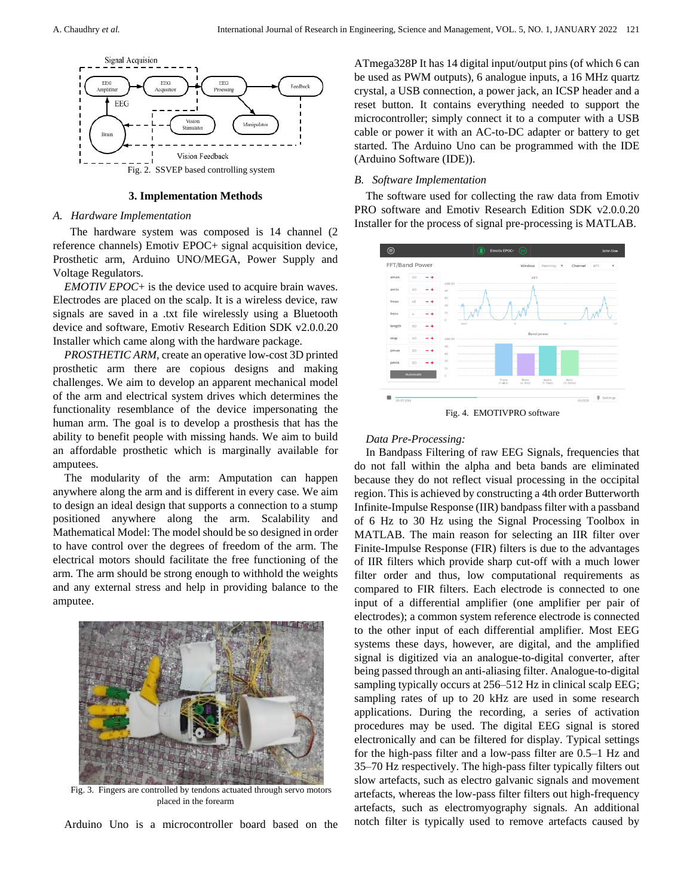

### **3. Implementation Methods**

#### *A. Hardware Implementation*

 The hardware system was composed is 14 channel (2 reference channels) Emotiv EPOC+ signal acquisition device, Prosthetic arm, Arduino UNO/MEGA, Power Supply and Voltage Regulators.

*EMOTIV EPOC*+ is the device used to acquire brain waves. Electrodes are placed on the scalp. It is a wireless device, raw signals are saved in a .txt file wirelessly using a Bluetooth device and software, Emotiv Research Edition SDK v2.0.0.20 Installer which came along with the hardware package.

*PROSTHETIC ARM*, create an operative low-cost 3D printed prosthetic arm there are copious designs and making challenges. We aim to develop an apparent mechanical model of the arm and electrical system drives which determines the functionality resemblance of the device impersonating the human arm. The goal is to develop a prosthesis that has the ability to benefit people with missing hands. We aim to build an affordable prosthetic which is marginally available for amputees.

The modularity of the arm: Amputation can happen anywhere along the arm and is different in every case. We aim to design an ideal design that supports a connection to a stump positioned anywhere along the arm. Scalability and Mathematical Model: The model should be so designed in order to have control over the degrees of freedom of the arm. The electrical motors should facilitate the free functioning of the arm. The arm should be strong enough to withhold the weights and any external stress and help in providing balance to the amputee.



Fig. 3. Fingers are controlled by tendons actuated through servo motors placed in the forearm

Arduino Uno is a microcontroller board based on the

ATmega328P It has 14 digital input/output pins (of which 6 can be used as PWM outputs), 6 analogue inputs, a 16 MHz quartz crystal, a USB connection, a power jack, an ICSP header and a reset button. It contains everything needed to support the microcontroller; simply connect it to a computer with a USB cable or power it with an AC-to-DC adapter or battery to get started. The Arduino Uno can be programmed with the IDE (Arduino Software (IDE)).

#### *B. Software Implementation*

The software used for collecting the raw data from Emotiv PRO software and Emotiv Research Edition SDK v2.0.0.20 Installer for the process of signal pre-processing is MATLAB.



Fig. 4. EMOTIVPRO software

### *Data Pre-Processing:*

In Bandpass Filtering of raw EEG Signals, frequencies that do not fall within the alpha and beta bands are eliminated because they do not reflect visual processing in the occipital region. This is achieved by constructing a 4th order Butterworth Infinite-Impulse Response (IIR) bandpass filter with a passband of 6 Hz to 30 Hz using the Signal Processing Toolbox in MATLAB. The main reason for selecting an IIR filter over Finite-Impulse Response (FIR) filters is due to the advantages of IIR filters which provide sharp cut-off with a much lower filter order and thus, low computational requirements as compared to FIR filters. Each electrode is connected to one input of a differential amplifier (one amplifier per pair of electrodes); a common system reference electrode is connected to the other input of each differential amplifier. Most EEG systems these days, however, are digital, and the amplified signal is digitized via an analogue-to-digital converter, after being passed through an anti-aliasing filter. Analogue-to-digital sampling typically occurs at 256–512 Hz in clinical scalp EEG; sampling rates of up to 20 kHz are used in some research applications. During the recording, a series of activation procedures may be used. The digital EEG signal is stored electronically and can be filtered for display. Typical settings for the high-pass filter and a low-pass filter are 0.5–1 Hz and 35–70 Hz respectively. The high-pass filter typically filters out slow artefacts, such as electro galvanic signals and movement artefacts, whereas the low-pass filter filters out high-frequency artefacts, such as electromyography signals. An additional notch filter is typically used to remove artefacts caused by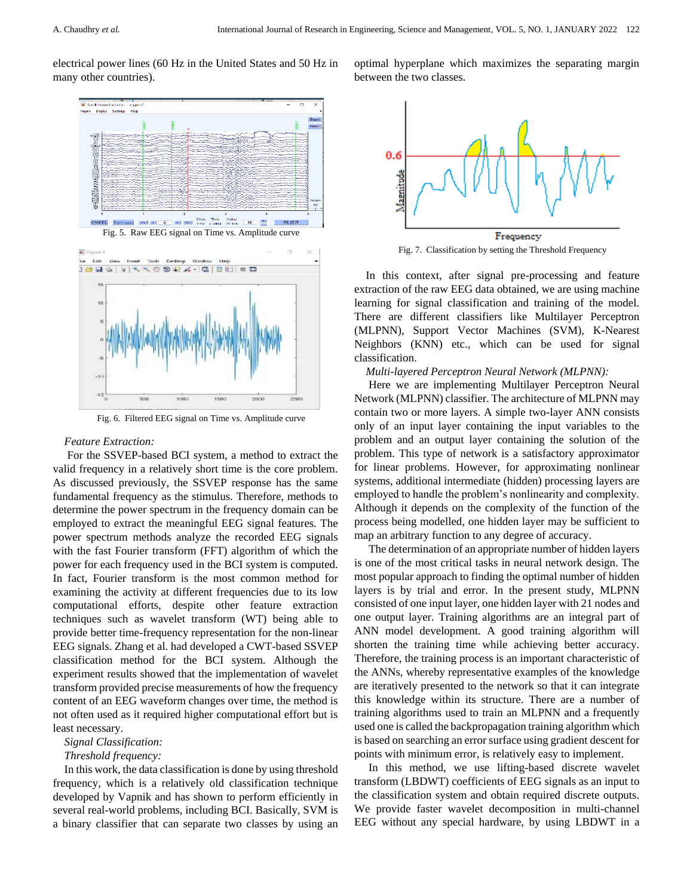electrical power lines (60 Hz in the United States and 50 Hz in many other countries).



Fig. 5. Raw EEG signal on Time vs. Amplitude curve



Fig. 6. Filtered EEG signal on Time vs. Amplitude curve

# *Feature Extraction:*

For the SSVEP-based BCI system, a method to extract the valid frequency in a relatively short time is the core problem. As discussed previously, the SSVEP response has the same fundamental frequency as the stimulus. Therefore, methods to determine the power spectrum in the frequency domain can be employed to extract the meaningful EEG signal features. The power spectrum methods analyze the recorded EEG signals with the fast Fourier transform (FFT) algorithm of which the power for each frequency used in the BCI system is computed. In fact, Fourier transform is the most common method for examining the activity at different frequencies due to its low computational efforts, despite other feature extraction techniques such as wavelet transform (WT) being able to provide better time-frequency representation for the non-linear EEG signals. Zhang et al. had developed a CWT-based SSVEP classification method for the BCI system. Although the experiment results showed that the implementation of wavelet transform provided precise measurements of how the frequency content of an EEG waveform changes over time, the method is not often used as it required higher computational effort but is least necessary.

*Signal Classification:*

#### *Threshold frequency:*

In this work, the data classification is done by using threshold frequency, which is a relatively old classification technique developed by Vapnik and has shown to perform efficiently in several real-world problems, including BCI. Basically, SVM is a binary classifier that can separate two classes by using an

optimal hyperplane which maximizes the separating margin between the two classes.



Fig. 7. Classification by setting the Threshold Frequency

In this context, after signal pre-processing and feature extraction of the raw EEG data obtained, we are using machine learning for signal classification and training of the model. There are different classifiers like Multilayer Perceptron (MLPNN), Support Vector Machines (SVM), K-Nearest Neighbors (KNN) etc., which can be used for signal classification.

*Multi-layered Perceptron Neural Network (MLPNN):*

Here we are implementing Multilayer Perceptron Neural Network (MLPNN) classifier. The architecture of MLPNN may contain two or more layers. A simple two-layer ANN consists only of an input layer containing the input variables to the problem and an output layer containing the solution of the problem. This type of network is a satisfactory approximator for linear problems. However, for approximating nonlinear systems, additional intermediate (hidden) processing layers are employed to handle the problem's nonlinearity and complexity. Although it depends on the complexity of the function of the process being modelled, one hidden layer may be sufficient to map an arbitrary function to any degree of accuracy.

The determination of an appropriate number of hidden layers is one of the most critical tasks in neural network design. The most popular approach to finding the optimal number of hidden layers is by trial and error. In the present study, MLPNN consisted of one input layer, one hidden layer with 21 nodes and one output layer. Training algorithms are an integral part of ANN model development. A good training algorithm will shorten the training time while achieving better accuracy. Therefore, the training process is an important characteristic of the ANNs, whereby representative examples of the knowledge are iteratively presented to the network so that it can integrate this knowledge within its structure. There are a number of training algorithms used to train an MLPNN and a frequently used one is called the backpropagation training algorithm which is based on searching an error surface using gradient descent for points with minimum error, is relatively easy to implement.

In this method, we use lifting-based discrete wavelet transform (LBDWT) coefficients of EEG signals as an input to the classification system and obtain required discrete outputs. We provide faster wavelet decomposition in multi-channel EEG without any special hardware, by using LBDWT in a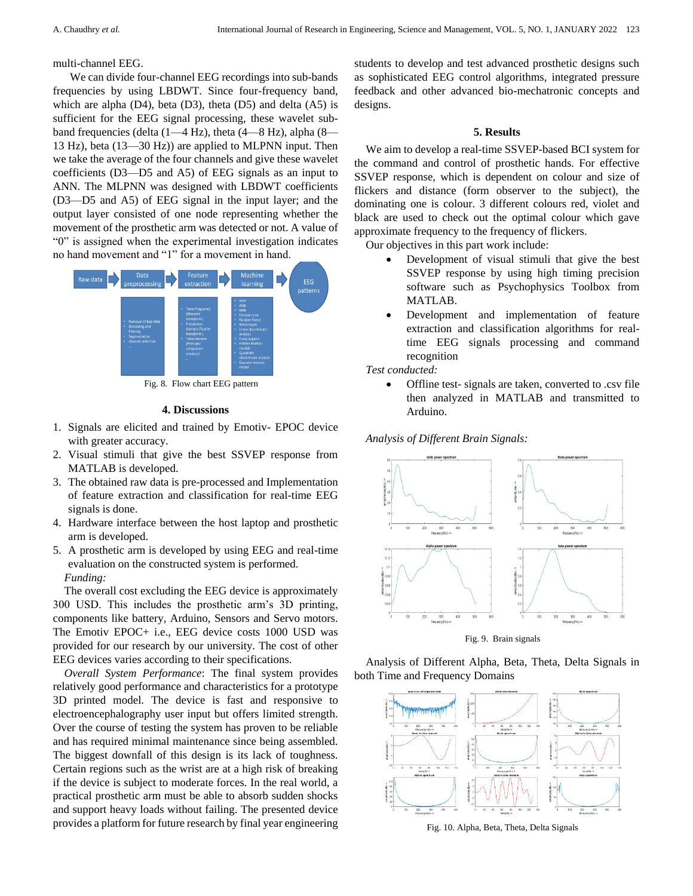# multi-channel EEG.

 We can divide four-channel EEG recordings into sub-bands frequencies by using LBDWT. Since four-frequency band, which are alpha (D4), beta (D3), theta (D5) and delta (A5) is sufficient for the EEG signal processing, these wavelet subband frequencies (delta (1—4 Hz), theta (4—8 Hz), alpha (8— 13 Hz), beta (13—30 Hz)) are applied to MLPNN input. Then we take the average of the four channels and give these wavelet coefficients (D3—D5 and A5) of EEG signals as an input to ANN. The MLPNN was designed with LBDWT coefficients (D3—D5 and A5) of EEG signal in the input layer; and the output layer consisted of one node representing whether the movement of the prosthetic arm was detected or not. A value of "0" is assigned when the experimental investigation indicates no hand movement and "1" for a movement in hand.



Fig. 8. Flow chart EEG pattern

# **4. Discussions**

- 1. Signals are elicited and trained by Emotiv- EPOC device with greater accuracy.
- 2. Visual stimuli that give the best SSVEP response from MATLAB is developed.
- 3. The obtained raw data is pre-processed and Implementation of feature extraction and classification for real-time EEG signals is done.
- 4. Hardware interface between the host laptop and prosthetic arm is developed.
- 5. A prosthetic arm is developed by using EEG and real-time evaluation on the constructed system is performed. *Funding:*

The overall cost excluding the EEG device is approximately 300 USD. This includes the prosthetic arm's 3D printing, components like battery, Arduino, Sensors and Servo motors. The Emotiv EPOC+ i.e., EEG device costs 1000 USD was provided for our research by our university. The cost of other EEG devices varies according to their specifications.

*Overall System Performance*: The final system provides relatively good performance and characteristics for a prototype 3D printed model. The device is fast and responsive to electroencephalography user input but offers limited strength. Over the course of testing the system has proven to be reliable and has required minimal maintenance since being assembled. The biggest downfall of this design is its lack of toughness. Certain regions such as the wrist are at a high risk of breaking if the device is subject to moderate forces. In the real world, a practical prosthetic arm must be able to absorb sudden shocks and support heavy loads without failing. The presented device provides a platform for future research by final year engineering students to develop and test advanced prosthetic designs such as sophisticated EEG control algorithms, integrated pressure feedback and other advanced bio-mechatronic concepts and designs.

# **5. Results**

We aim to develop a real-time SSVEP-based BCI system for the command and control of prosthetic hands. For effective SSVEP response, which is dependent on colour and size of flickers and distance (form observer to the subject), the dominating one is colour. 3 different colours red, violet and black are used to check out the optimal colour which gave approximate frequency to the frequency of flickers.

Our objectives in this part work include:

- Development of visual stimuli that give the best SSVEP response by using high timing precision software such as Psychophysics Toolbox from MATLAB.
- Development and implementation of feature extraction and classification algorithms for realtime EEG signals processing and command recognition

*Test conducted:*

 Offline test- signals are taken, converted to .csv file then analyzed in MATLAB and transmitted to Arduino.

*Analysis of Different Brain Signals:*



Fig. 9. Brain signals

Analysis of Different Alpha, Beta, Theta, Delta Signals in both Time and Frequency Domains



Fig. 10. Alpha, Beta, Theta, Delta Signals